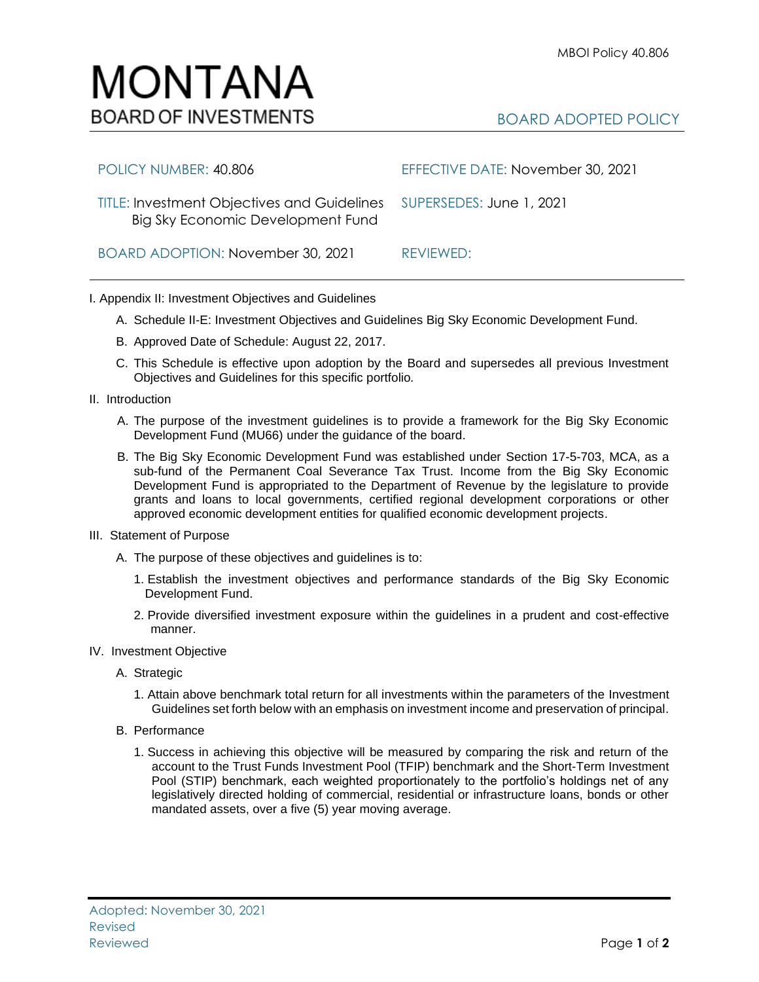## MONTANA **BOARD OF INVESTMENTS**

| POLICY NUMBER: 40.806                                                                                     | EFFECTIVE DATE: November 30, 2021 |
|-----------------------------------------------------------------------------------------------------------|-----------------------------------|
| TITLE: Investment Objectives and Guidelines SUPERSEDES: June 1, 2021<br>Big Sky Economic Development Fund |                                   |
| BOARD ADOPTION: November 30, 2021                                                                         | REVIEWED:                         |

## I. Appendix II: Investment Objectives and Guidelines

- A. Schedule II-E: Investment Objectives and Guidelines Big Sky Economic Development Fund.
- B. Approved Date of Schedule: August 22, 2017.
- C. This Schedule is effective upon adoption by the Board and supersedes all previous Investment Objectives and Guidelines for this specific portfolio*.*
- II. Introduction
	- A. The purpose of the investment guidelines is to provide a framework for the Big Sky Economic Development Fund (MU66) under the guidance of the board.
	- B. The Big Sky Economic Development Fund was established under Section 17-5-703, MCA, as a sub-fund of the Permanent Coal Severance Tax Trust. Income from the Big Sky Economic Development Fund is appropriated to the Department of Revenue by the legislature to provide grants and loans to local governments, certified regional development corporations or other approved economic development entities for qualified economic development projects.
- III. Statement of Purpose
	- A. The purpose of these objectives and guidelines is to:
		- 1. Establish the investment objectives and performance standards of the Big Sky Economic Development Fund.
		- 2. Provide diversified investment exposure within the guidelines in a prudent and cost-effective manner.
- IV. Investment Objective
	- A. Strategic
		- 1. Attain above benchmark total return for all investments within the parameters of the Investment Guidelines set forth below with an emphasis on investment income and preservation of principal.
	- B. Performance
		- 1. Success in achieving this objective will be measured by comparing the risk and return of the account to the Trust Funds Investment Pool (TFIP) benchmark and the Short-Term Investment Pool (STIP) benchmark, each weighted proportionately to the portfolio's holdings net of any legislatively directed holding of commercial, residential or infrastructure loans, bonds or other mandated assets, over a five (5) year moving average.